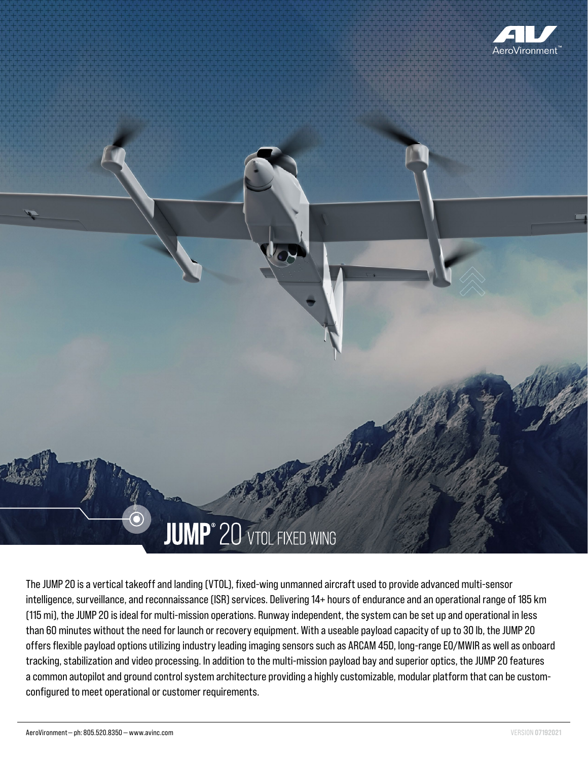

# **JUMP**<sup>®</sup> 20 VTOL FIXED WING

The JUMP 20 is a vertical takeoff and landing (VTOL), fixed-wing unmanned aircraft used to provide advanced multi-sensor intelligence, surveillance, and reconnaissance (ISR) services. Delivering 14+ hours of endurance and an operational range of 185 km (115 mi), the JUMP 20 is ideal for multi-mission operations. Runway independent, the system can be set up and operational in less than 60 minutes without the need for launch or recovery equipment. With a useable payload capacity of up to 30 lb, the JUMP 20 offers flexible payload options utilizing industry leading imaging sensors such as ARCAM 45D, long-range EO/MWIR as well as onboard tracking, stabilization and video processing. In addition to the multi-mission payload bay and superior optics, the JUMP 20 features a common autopilot and ground control system architecture providing a highly customizable, modular platform that can be customconfigured to meet operational or customer requirements.